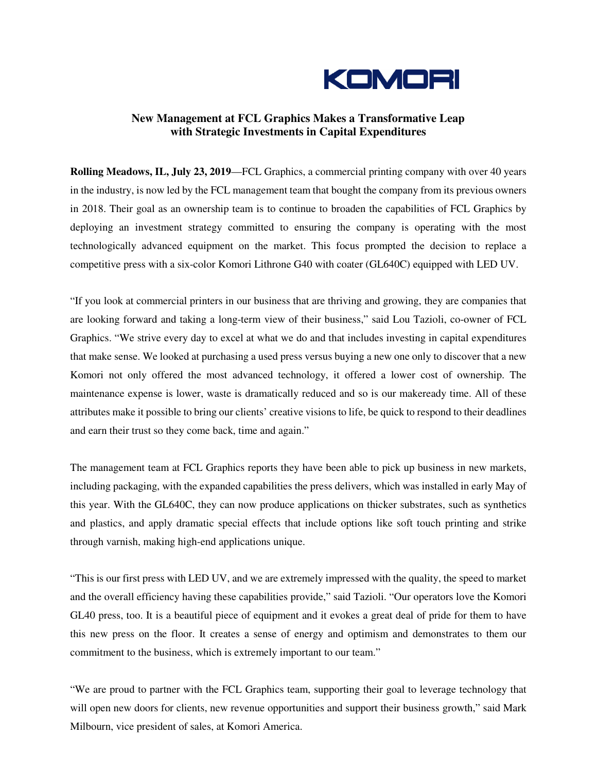

## **New Management at FCL Graphics Makes a Transformative Leap with Strategic Investments in Capital Expenditures**

**Rolling Meadows, IL, July 23, 2019**—FCL Graphics, a commercial printing company with over 40 years in the industry, is now led by the FCL management team that bought the company from its previous owners in 2018. Their goal as an ownership team is to continue to broaden the capabilities of FCL Graphics by deploying an investment strategy committed to ensuring the company is operating with the most technologically advanced equipment on the market. This focus prompted the decision to replace a competitive press with a six-color Komori Lithrone G40 with coater (GL640C) equipped with LED UV.

"If you look at commercial printers in our business that are thriving and growing, they are companies that are looking forward and taking a long-term view of their business," said Lou Tazioli, co-owner of FCL Graphics. "We strive every day to excel at what we do and that includes investing in capital expenditures that make sense. We looked at purchasing a used press versus buying a new one only to discover that a new Komori not only offered the most advanced technology, it offered a lower cost of ownership. The maintenance expense is lower, waste is dramatically reduced and so is our makeready time. All of these attributes make it possible to bring our clients' creative visions to life, be quick to respond to their deadlines and earn their trust so they come back, time and again."

The management team at FCL Graphics reports they have been able to pick up business in new markets, including packaging, with the expanded capabilities the press delivers, which was installed in early May of this year. With the GL640C, they can now produce applications on thicker substrates, such as synthetics and plastics, and apply dramatic special effects that include options like soft touch printing and strike through varnish, making high-end applications unique.

"This is our first press with LED UV, and we are extremely impressed with the quality, the speed to market and the overall efficiency having these capabilities provide," said Tazioli. "Our operators love the Komori GL40 press, too. It is a beautiful piece of equipment and it evokes a great deal of pride for them to have this new press on the floor. It creates a sense of energy and optimism and demonstrates to them our commitment to the business, which is extremely important to our team."

"We are proud to partner with the FCL Graphics team, supporting their goal to leverage technology that will open new doors for clients, new revenue opportunities and support their business growth," said Mark Milbourn, vice president of sales, at Komori America.